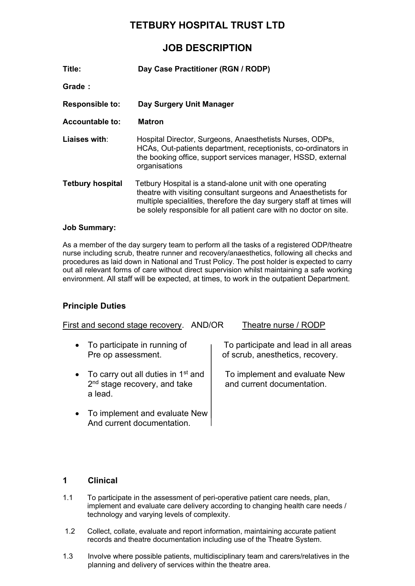# **TETBURY HOSPITAL TRUST LTD**

# **JOB DESCRIPTION**

| Title:                  | Day Case Practitioner (RGN / RODP)                                                                                                                                                                                                                                         |
|-------------------------|----------------------------------------------------------------------------------------------------------------------------------------------------------------------------------------------------------------------------------------------------------------------------|
| Grade:                  |                                                                                                                                                                                                                                                                            |
| <b>Responsible to:</b>  | Day Surgery Unit Manager                                                                                                                                                                                                                                                   |
| <b>Accountable to:</b>  | Matron                                                                                                                                                                                                                                                                     |
| Liaises with:           | Hospital Director, Surgeons, Anaesthetists Nurses, ODPs,<br>HCAs, Out-patients department, receptionists, co-ordinators in<br>the booking office, support services manager, HSSD, external<br>organisations                                                                |
| <b>Tetbury hospital</b> | Tetbury Hospital is a stand-alone unit with one operating<br>theatre with visiting consultant surgeons and Anaesthetists for<br>multiple specialities, therefore the day surgery staff at times will<br>be solely responsible for all patient care with no doctor on site. |

## **Job Summary:**

As a member of the day surgery team to perform all the tasks of a registered ODP/theatre nurse including scrub, theatre runner and recovery/anaesthetics, following all checks and procedures as laid down in National and Trust Policy. The post holder is expected to carry out all relevant forms of care without direct supervision whilst maintaining a safe working environment. All staff will be expected, at times, to work in the outpatient Department.

## **Principle Duties**

| First and second stage recovery.<br>AND/OR                                                    | Theatre nurse / RODP                                                     |
|-----------------------------------------------------------------------------------------------|--------------------------------------------------------------------------|
| • To participate in running of<br>Pre op assessment.                                          | To participate and lead in all areas<br>of scrub, anesthetics, recovery. |
| • To carry out all duties in 1 <sup>st</sup> and<br>$2nd$ stage recovery, and take<br>a lead. | To implement and evaluate New<br>and current documentation.              |
| • To implement and evaluate New<br>And current documentation.                                 |                                                                          |

## **1 Clinical**

- 1.1 To participate in the assessment of peri-operative patient care needs, plan, implement and evaluate care delivery according to changing health care needs / technology and varying levels of complexity.
- 1.2 Collect, collate, evaluate and report information, maintaining accurate patient records and theatre documentation including use of the Theatre System.
- 1.3 Involve where possible patients, multidisciplinary team and carers/relatives in the planning and delivery of services within the theatre area.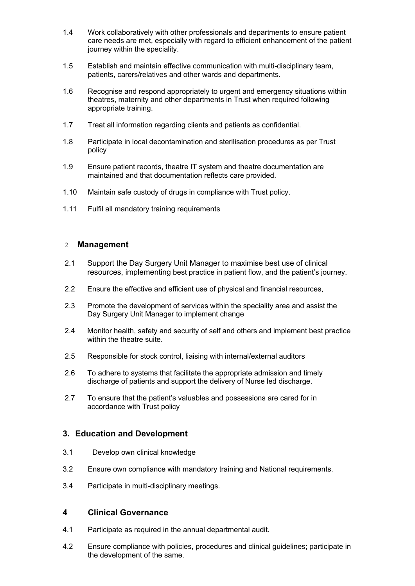- 1.4 Work collaboratively with other professionals and departments to ensure patient care needs are met, especially with regard to efficient enhancement of the patient journey within the speciality.
- 1.5 Establish and maintain effective communication with multi-disciplinary team, patients, carers/relatives and other wards and departments.
- 1.6 Recognise and respond appropriately to urgent and emergency situations within theatres, maternity and other departments in Trust when required following appropriate training.
- 1.7 Treat all information regarding clients and patients as confidential.
- 1.8 Participate in local decontamination and sterilisation procedures as per Trust policy
- 1.9 Ensure patient records, theatre IT system and theatre documentation are maintained and that documentation reflects care provided.
- 1.10 Maintain safe custody of drugs in compliance with Trust policy.
- 1.11 Fulfil all mandatory training requirements

### 2 **Management**

- 2.1 Support the Day Surgery Unit Manager to maximise best use of clinical resources, implementing best practice in patient flow, and the patient's journey.
- 2.2 Ensure the effective and efficient use of physical and financial resources,
- 2.3 Promote the development of services within the speciality area and assist the Day Surgery Unit Manager to implement change
- 2.4 Monitor health, safety and security of self and others and implement best practice within the theatre suite.
- 2.5 Responsible for stock control, liaising with internal/external auditors
- 2.6 To adhere to systems that facilitate the appropriate admission and timely discharge of patients and support the delivery of Nurse led discharge.
- 2.7 To ensure that the patient's valuables and possessions are cared for in accordance with Trust policy

## **3. Education and Development**

- 3.1 Develop own clinical knowledge
- 3.2 Ensure own compliance with mandatory training and National requirements.
- 3.4 Participate in multi-disciplinary meetings.

## **4 Clinical Governance**

- 4.1 Participate as required in the annual departmental audit.
- 4.2 Ensure compliance with policies, procedures and clinical guidelines; participate in the development of the same.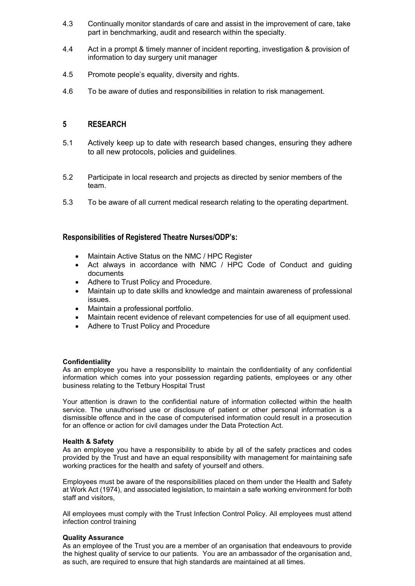- 4.3 Continually monitor standards of care and assist in the improvement of care, take part in benchmarking, audit and research within the specialty.
- 4.4 Act in a prompt & timely manner of incident reporting, investigation & provision of information to day surgery unit manager
- 4.5 Promote people's equality, diversity and rights.
- 4.6 To be aware of duties and responsibilities in relation to risk management.

## **5 RESEARCH**

- 5.1 Actively keep up to date with research based changes, ensuring they adhere to all new protocols, policies and guidelines.
- 5.2 Participate in local research and projects as directed by senior members of the team.
- 5.3 To be aware of all current medical research relating to the operating department.

## **Responsibilities of Registered Theatre Nurses/ODP's:**

- Maintain Active Status on the NMC / HPC Register
- Act always in accordance with NMC / HPC Code of Conduct and guiding documents
- Adhere to Trust Policy and Procedure.
- Maintain up to date skills and knowledge and maintain awareness of professional issues.
- Maintain a professional portfolio.
- Maintain recent evidence of relevant competencies for use of all equipment used.
- Adhere to Trust Policy and Procedure

#### **Confidentiality**

As an employee you have a responsibility to maintain the confidentiality of any confidential information which comes into your possession regarding patients, employees or any other business relating to the Tetbury Hospital Trust

Your attention is drawn to the confidential nature of information collected within the health service. The unauthorised use or disclosure of patient or other personal information is a dismissible offence and in the case of computerised information could result in a prosecution for an offence or action for civil damages under the Data Protection Act.

#### **Health & Safety**

As an employee you have a responsibility to abide by all of the safety practices and codes provided by the Trust and have an equal responsibility with management for maintaining safe working practices for the health and safety of yourself and others.

Employees must be aware of the responsibilities placed on them under the Health and Safety at Work Act (1974), and associated legislation, to maintain a safe working environment for both staff and visitors,

All employees must comply with the Trust Infection Control Policy. All employees must attend infection control training

#### **Quality Assurance**

As an employee of the Trust you are a member of an organisation that endeavours to provide the highest quality of service to our patients. You are an ambassador of the organisation and, as such, are required to ensure that high standards are maintained at all times.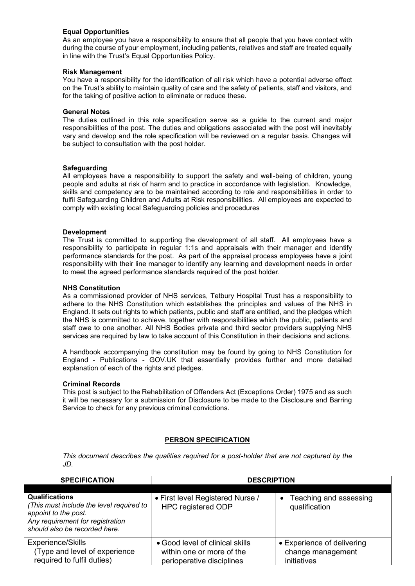#### **Equal Opportunities**

As an employee you have a responsibility to ensure that all people that you have contact with during the course of your employment, including patients, relatives and staff are treated equally in line with the Trust's Equal Opportunities Policy.

#### **Risk Management**

You have a responsibility for the identification of all risk which have a potential adverse effect on the Trust's ability to maintain quality of care and the safety of patients, staff and visitors, and for the taking of positive action to eliminate or reduce these.

#### **General Notes**

The duties outlined in this role specification serve as a guide to the current and major responsibilities of the post. The duties and obligations associated with the post will inevitably vary and develop and the role specification will be reviewed on a regular basis. Changes will be subject to consultation with the post holder.

#### **Safeguarding**

All employees have a responsibility to support the safety and well-being of children, young people and adults at risk of harm and to practice in accordance with legislation. Knowledge, skills and competency are to be maintained according to role and responsibilities in order to fulfil Safeguarding Children and Adults at Risk responsibilities. All employees are expected to comply with existing local Safeguarding policies and procedures

#### **Development**

The Trust is committed to supporting the development of all staff. All employees have a responsibility to participate in regular 1:1s and appraisals with their manager and identify performance standards for the post. As part of the appraisal process employees have a joint responsibility with their line manager to identify any learning and development needs in order to meet the agreed performance standards required of the post holder.

#### **NHS Constitution**

As a commissioned provider of NHS services, Tetbury Hospital Trust has a responsibility to adhere to the NHS Constitution which establishes the principles and values of the NHS in England. It sets out rights to which patients, public and staff are entitled, and the pledges which the NHS is committed to achieve, together with responsibilities which the public, patients and staff owe to one another. All NHS Bodies private and third sector providers supplying NHS services are required by law to take account of this Constitution in their decisions and actions.

A handbook accompanying the constitution may be found by going to [NHS Constitution for](https://www.gov.uk/government/publications/the-nhs-constitution-for-england)  England - [Publications -](https://www.gov.uk/government/publications/the-nhs-constitution-for-england) GOV.UK that essentially provides further and more detailed explanation of each of the rights and pledges.

#### **Criminal Records**

This post is subject to the Rehabilitation of Offenders Act (Exceptions Order) 1975 and as such it will be necessary for a submission for Disclosure to be made to the Disclosure and Barring Service to check for any previous criminal convictions.

#### **PERSON SPECIFICATION**

*This document describes the qualities required for a post-holder that are not captured by the JD.* 

| <b>SPECIFICATION</b>                                                                                                                                           | <b>DESCRIPTION</b>                                                                        |                                                                |  |  |
|----------------------------------------------------------------------------------------------------------------------------------------------------------------|-------------------------------------------------------------------------------------------|----------------------------------------------------------------|--|--|
|                                                                                                                                                                |                                                                                           |                                                                |  |  |
| <b>Qualifications</b><br>(This must include the level required to<br>appoint to the post.<br>Any requirement for registration<br>should also be recorded here. | • First level Registered Nurse /<br><b>HPC registered ODP</b>                             | Teaching and assessing<br>$\bullet$<br>qualification           |  |  |
| <b>Experience/Skills</b><br>(Type and level of experience<br>required to fulfil duties)                                                                        | • Good level of clinical skills<br>within one or more of the<br>perioperative disciplines | • Experience of delivering<br>change management<br>initiatives |  |  |